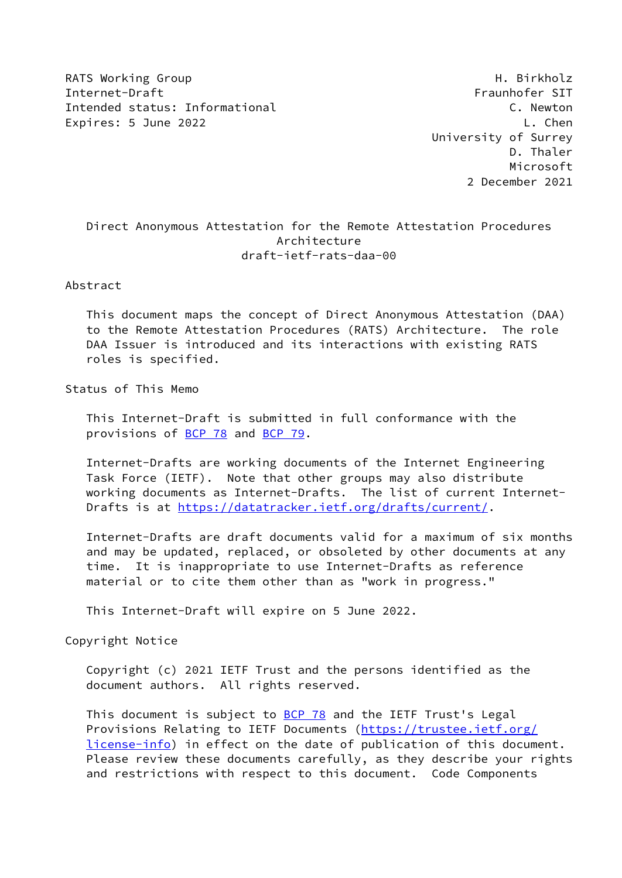RATS Working Group **H. Birkholz** Internet-Draft Fraunhofer SIT Intended status: Informational C. Newton Expires: 5 June 2022 **L. Chen** 

 University of Surrey D. Thaler Microsoft 2 December 2021

## Direct Anonymous Attestation for the Remote Attestation Procedures Architecture draft-ietf-rats-daa-00

Abstract

 This document maps the concept of Direct Anonymous Attestation (DAA) to the Remote Attestation Procedures (RATS) Architecture. The role DAA Issuer is introduced and its interactions with existing RATS roles is specified.

Status of This Memo

 This Internet-Draft is submitted in full conformance with the provisions of [BCP 78](https://datatracker.ietf.org/doc/pdf/bcp78) and [BCP 79](https://datatracker.ietf.org/doc/pdf/bcp79).

 Internet-Drafts are working documents of the Internet Engineering Task Force (IETF). Note that other groups may also distribute working documents as Internet-Drafts. The list of current Internet- Drafts is at<https://datatracker.ietf.org/drafts/current/>.

 Internet-Drafts are draft documents valid for a maximum of six months and may be updated, replaced, or obsoleted by other documents at any time. It is inappropriate to use Internet-Drafts as reference material or to cite them other than as "work in progress."

This Internet-Draft will expire on 5 June 2022.

Copyright Notice

 Copyright (c) 2021 IETF Trust and the persons identified as the document authors. All rights reserved.

This document is subject to **[BCP 78](https://datatracker.ietf.org/doc/pdf/bcp78)** and the IETF Trust's Legal Provisions Relating to IETF Documents ([https://trustee.ietf.org/](https://trustee.ietf.org/license-info) [license-info](https://trustee.ietf.org/license-info)) in effect on the date of publication of this document. Please review these documents carefully, as they describe your rights and restrictions with respect to this document. Code Components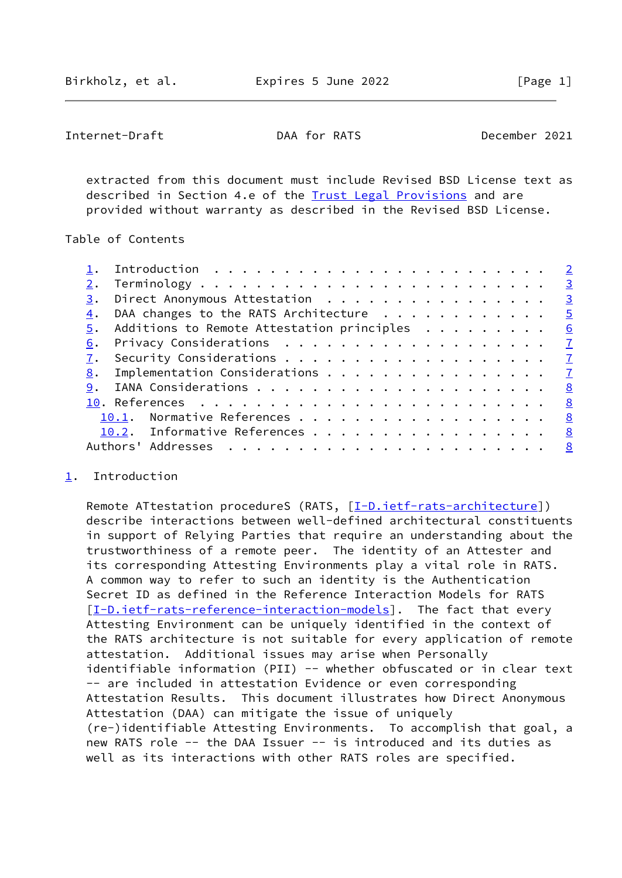<span id="page-1-1"></span>Internet-Draft DAA for RATS December 2021

 extracted from this document must include Revised BSD License text as described in Section 4.e of the [Trust Legal Provisions](https://trustee.ietf.org/license-info) and are provided without warranty as described in the Revised BSD License.

Table of Contents

|    |                                               | $\overline{3}$ |
|----|-----------------------------------------------|----------------|
| 3. | Direct Anonymous Attestation                  | $\frac{3}{2}$  |
| 4. | DAA changes to the RATS Architecture          | $-5$           |
|    | 5. Additions to Remote Attestation principles | 6              |
| 6. | Privacy Considerations $\cdots$ 7             |                |
|    |                                               |                |
| 8. | Implementation Considerations $\cdots$ 7      |                |
| 9. |                                               |                |
|    |                                               |                |
|    | 10.1. Normative References 8                  |                |
|    | 10.2. Informative References 8                |                |
|    |                                               |                |
|    |                                               |                |

## <span id="page-1-0"></span>[1](#page-1-0). Introduction

Remote ATtestation procedureS (RATS, [\[I-D.ietf-rats-architecture\]](#page-8-3)) describe interactions between well-defined architectural constituents in support of Relying Parties that require an understanding about the trustworthiness of a remote peer. The identity of an Attester and its corresponding Attesting Environments play a vital role in RATS. A common way to refer to such an identity is the Authentication Secret ID as defined in the Reference Interaction Models for RATS [\[I-D.ietf-rats-reference-interaction-models\]](#page-8-4). The fact that every Attesting Environment can be uniquely identified in the context of the RATS architecture is not suitable for every application of remote attestation. Additional issues may arise when Personally identifiable information (PII) -- whether obfuscated or in clear text -- are included in attestation Evidence or even corresponding Attestation Results. This document illustrates how Direct Anonymous Attestation (DAA) can mitigate the issue of uniquely (re-)identifiable Attesting Environments. To accomplish that goal, a new RATS role -- the DAA Issuer -- is introduced and its duties as well as its interactions with other RATS roles are specified.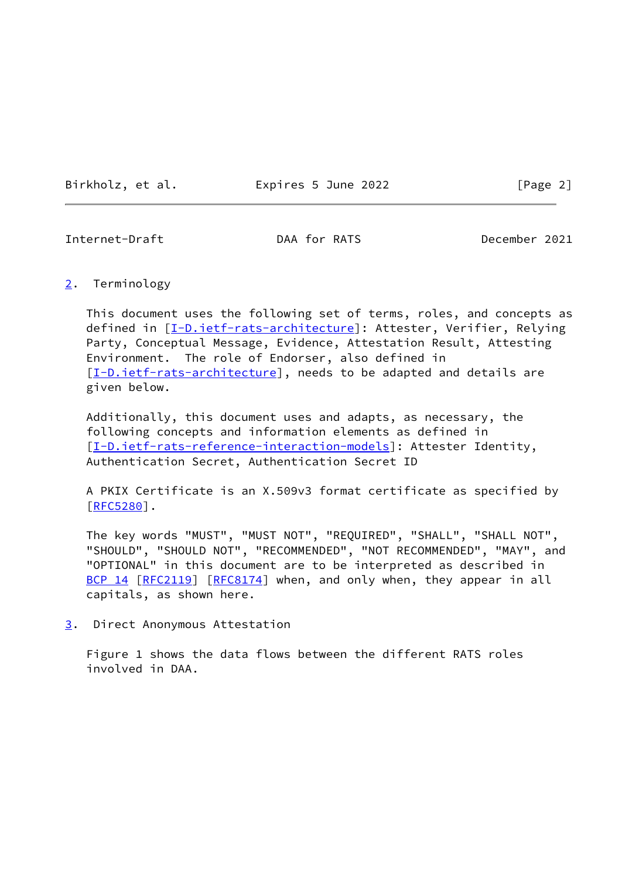Birkholz, et al. 
Expires 5 June 2022  $[Page 2]$ 

<span id="page-2-1"></span>Internet-Draft DAA for RATS December 2021

<span id="page-2-0"></span>[2](#page-2-0). Terminology

 This document uses the following set of terms, roles, and concepts as defined in [[I-D.ietf-rats-architecture\]](#page-8-3): Attester, Verifier, Relying Party, Conceptual Message, Evidence, Attestation Result, Attesting Environment. The role of Endorser, also defined in [\[I-D.ietf-rats-architecture\]](#page-8-3), needs to be adapted and details are given below.

 Additionally, this document uses and adapts, as necessary, the following concepts and information elements as defined in [\[I-D.ietf-rats-reference-interaction-models\]](#page-8-4): Attester Identity, Authentication Secret, Authentication Secret ID

 A PKIX Certificate is an X.509v3 format certificate as specified by  $[REC5280]$ .

 The key words "MUST", "MUST NOT", "REQUIRED", "SHALL", "SHALL NOT", "SHOULD", "SHOULD NOT", "RECOMMENDED", "NOT RECOMMENDED", "MAY", and "OPTIONAL" in this document are to be interpreted as described in [BCP 14](https://datatracker.ietf.org/doc/pdf/bcp14) [\[RFC2119](https://datatracker.ietf.org/doc/pdf/rfc2119)] [\[RFC8174](https://datatracker.ietf.org/doc/pdf/rfc8174)] when, and only when, they appear in all capitals, as shown here.

<span id="page-2-2"></span>[3](#page-2-2). Direct Anonymous Attestation

 Figure 1 shows the data flows between the different RATS roles involved in DAA.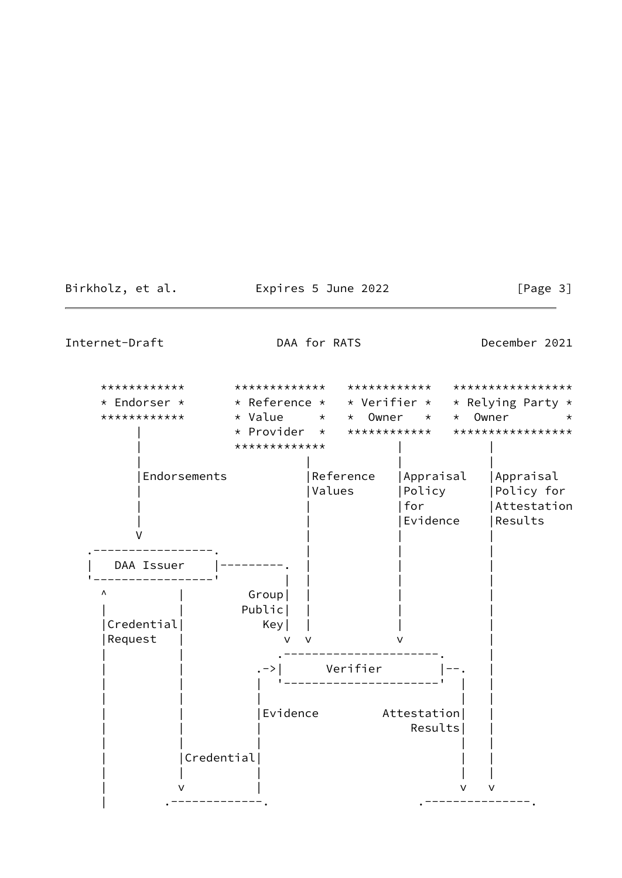Birkholz, et al. **Expires 5 June 2022** [Page 3]

Internet-Draft **DAA** for RATS December 2021

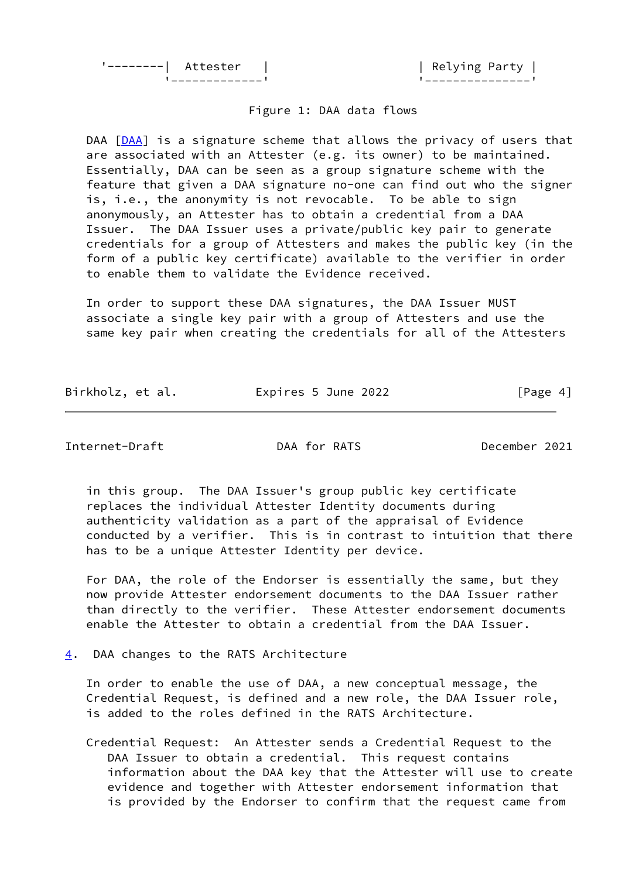'--------| Attester | | | | Relying Party |

'-------------' '---------------'

## Figure 1: DAA data flows

DAA [\[DAA](#page-8-5)] is a signature scheme that allows the privacy of users that are associated with an Attester (e.g. its owner) to be maintained. Essentially, DAA can be seen as a group signature scheme with the feature that given a DAA signature no-one can find out who the signer is, i.e., the anonymity is not revocable. To be able to sign anonymously, an Attester has to obtain a credential from a DAA Issuer. The DAA Issuer uses a private/public key pair to generate credentials for a group of Attesters and makes the public key (in the form of a public key certificate) available to the verifier in order to enable them to validate the Evidence received.

 In order to support these DAA signatures, the DAA Issuer MUST associate a single key pair with a group of Attesters and use the same key pair when creating the credentials for all of the Attesters

Birkholz, et al. 
Expires 5 June 2022  $[Page 4]$ 

<span id="page-4-1"></span>Internet-Draft DAA for RATS December 2021

 in this group. The DAA Issuer's group public key certificate replaces the individual Attester Identity documents during authenticity validation as a part of the appraisal of Evidence conducted by a verifier. This is in contrast to intuition that there has to be a unique Attester Identity per device.

 For DAA, the role of the Endorser is essentially the same, but they now provide Attester endorsement documents to the DAA Issuer rather than directly to the verifier. These Attester endorsement documents enable the Attester to obtain a credential from the DAA Issuer.

<span id="page-4-0"></span>[4](#page-4-0). DAA changes to the RATS Architecture

 In order to enable the use of DAA, a new conceptual message, the Credential Request, is defined and a new role, the DAA Issuer role, is added to the roles defined in the RATS Architecture.

 Credential Request: An Attester sends a Credential Request to the DAA Issuer to obtain a credential. This request contains information about the DAA key that the Attester will use to create evidence and together with Attester endorsement information that is provided by the Endorser to confirm that the request came from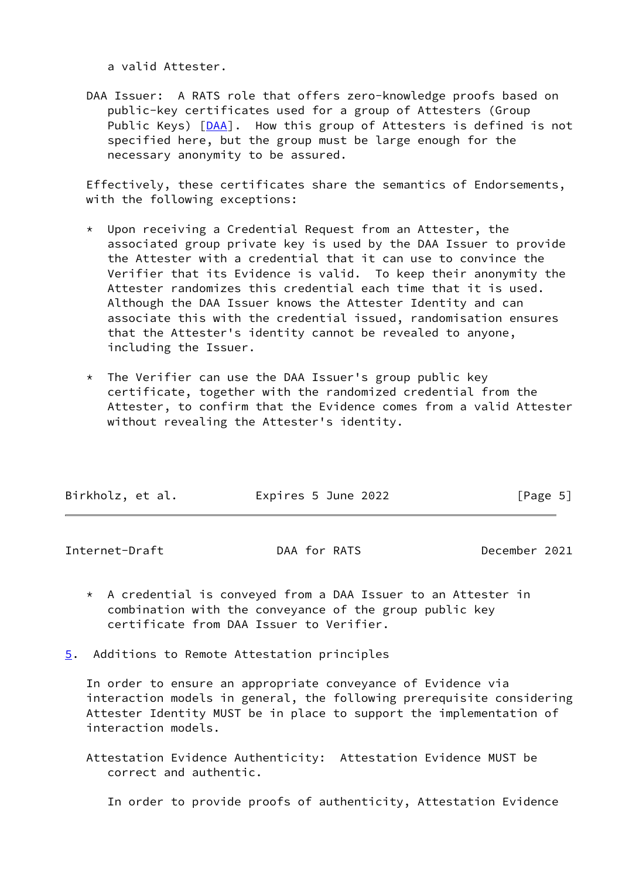a valid Attester.

 DAA Issuer: A RATS role that offers zero-knowledge proofs based on public-key certificates used for a group of Attesters (Group Public Keys) [\[DAA](#page-8-5)]. How this group of Attesters is defined is not specified here, but the group must be large enough for the necessary anonymity to be assured.

 Effectively, these certificates share the semantics of Endorsements, with the following exceptions:

- \* Upon receiving a Credential Request from an Attester, the associated group private key is used by the DAA Issuer to provide the Attester with a credential that it can use to convince the Verifier that its Evidence is valid. To keep their anonymity the Attester randomizes this credential each time that it is used. Although the DAA Issuer knows the Attester Identity and can associate this with the credential issued, randomisation ensures that the Attester's identity cannot be revealed to anyone, including the Issuer.
- \* The Verifier can use the DAA Issuer's group public key certificate, together with the randomized credential from the Attester, to confirm that the Evidence comes from a valid Attester without revealing the Attester's identity.

| Birkholz, et al. | Expires 5 June 2022 | [Page 5] |
|------------------|---------------------|----------|

<span id="page-5-1"></span>Internet-Draft DAA for RATS December 2021

- \* A credential is conveyed from a DAA Issuer to an Attester in combination with the conveyance of the group public key certificate from DAA Issuer to Verifier.
- <span id="page-5-0"></span>[5](#page-5-0). Additions to Remote Attestation principles

 In order to ensure an appropriate conveyance of Evidence via interaction models in general, the following prerequisite considering Attester Identity MUST be in place to support the implementation of interaction models.

 Attestation Evidence Authenticity: Attestation Evidence MUST be correct and authentic.

In order to provide proofs of authenticity, Attestation Evidence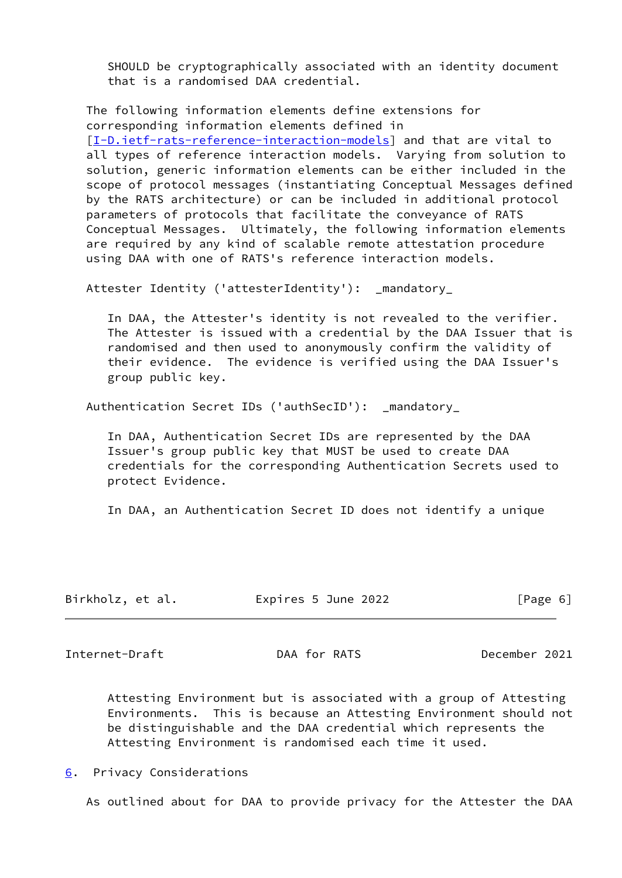SHOULD be cryptographically associated with an identity document that is a randomised DAA credential.

 The following information elements define extensions for corresponding information elements defined in [\[I-D.ietf-rats-reference-interaction-models\]](#page-8-4) and that are vital to all types of reference interaction models. Varying from solution to solution, generic information elements can be either included in the scope of protocol messages (instantiating Conceptual Messages defined by the RATS architecture) or can be included in additional protocol parameters of protocols that facilitate the conveyance of RATS Conceptual Messages. Ultimately, the following information elements are required by any kind of scalable remote attestation procedure using DAA with one of RATS's reference interaction models.

Attester Identity ('attesterIdentity'): \_mandatory\_

 In DAA, the Attester's identity is not revealed to the verifier. The Attester is issued with a credential by the DAA Issuer that is randomised and then used to anonymously confirm the validity of their evidence. The evidence is verified using the DAA Issuer's group public key.

Authentication Secret IDs ('authSecID'): \_mandatory\_

 In DAA, Authentication Secret IDs are represented by the DAA Issuer's group public key that MUST be used to create DAA credentials for the corresponding Authentication Secrets used to protect Evidence.

In DAA, an Authentication Secret ID does not identify a unique

| Birkholz, et al. | Expires 5 June 2022 | [Page 6] |
|------------------|---------------------|----------|
|------------------|---------------------|----------|

<span id="page-6-1"></span>Internet-Draft DAA for RATS December 2021

 Attesting Environment but is associated with a group of Attesting Environments. This is because an Attesting Environment should not be distinguishable and the DAA credential which represents the Attesting Environment is randomised each time it used.

<span id="page-6-0"></span>[6](#page-6-0). Privacy Considerations

As outlined about for DAA to provide privacy for the Attester the DAA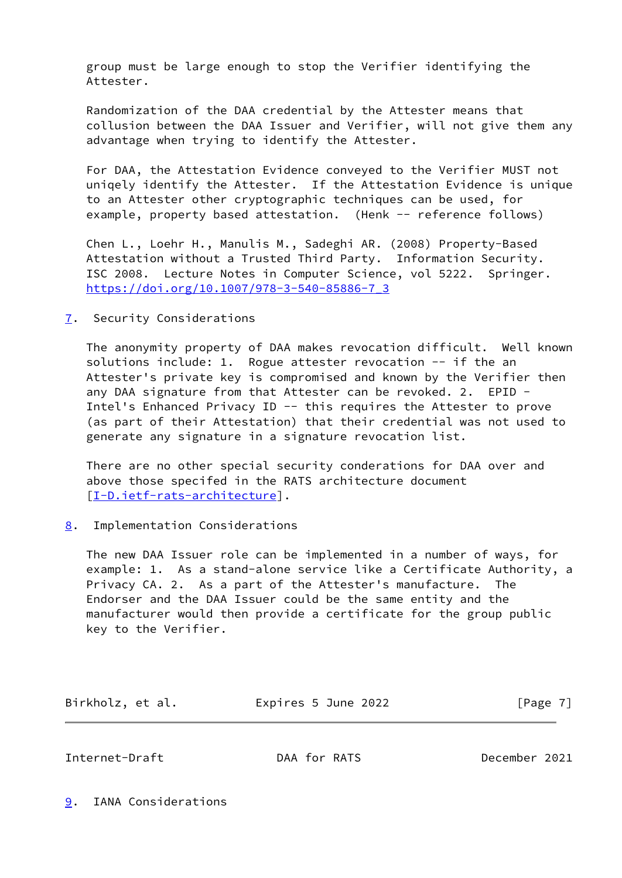group must be large enough to stop the Verifier identifying the Attester.

 Randomization of the DAA credential by the Attester means that collusion between the DAA Issuer and Verifier, will not give them any advantage when trying to identify the Attester.

 For DAA, the Attestation Evidence conveyed to the Verifier MUST not uniqely identify the Attester. If the Attestation Evidence is unique to an Attester other cryptographic techniques can be used, for example, property based attestation. (Henk -- reference follows)

 Chen L., Loehr H., Manulis M., Sadeghi AR. (2008) Property-Based Attestation without a Trusted Third Party. Information Security. ISC 2008. Lecture Notes in Computer Science, vol 5222. Springer. [https://doi.org/10.1007/978-3-540-85886-7\\_3](https://doi.org/10.1007/978-3-540-85886-7_3)

<span id="page-7-0"></span>[7](#page-7-0). Security Considerations

 The anonymity property of DAA makes revocation difficult. Well known solutions include: 1. Rogue attester revocation -- if the an Attester's private key is compromised and known by the Verifier then any DAA signature from that Attester can be revoked. 2. EPID - Intel's Enhanced Privacy ID -- this requires the Attester to prove (as part of their Attestation) that their credential was not used to generate any signature in a signature revocation list.

 There are no other special security conderations for DAA over and above those specifed in the RATS architecture document [\[I-D.ietf-rats-architecture\]](#page-8-3).

<span id="page-7-1"></span>[8](#page-7-1). Implementation Considerations

 The new DAA Issuer role can be implemented in a number of ways, for example: 1. As a stand-alone service like a Certificate Authority, a Privacy CA. 2. As a part of the Attester's manufacture. The Endorser and the DAA Issuer could be the same entity and the manufacturer would then provide a certificate for the group public key to the Verifier.

| Birkholz, et al. | Expires 5 June 2022 | [Page 7] |
|------------------|---------------------|----------|
|------------------|---------------------|----------|

<span id="page-7-3"></span>Internet-Draft DAA for RATS December 2021

<span id="page-7-2"></span>[9](#page-7-2). IANA Considerations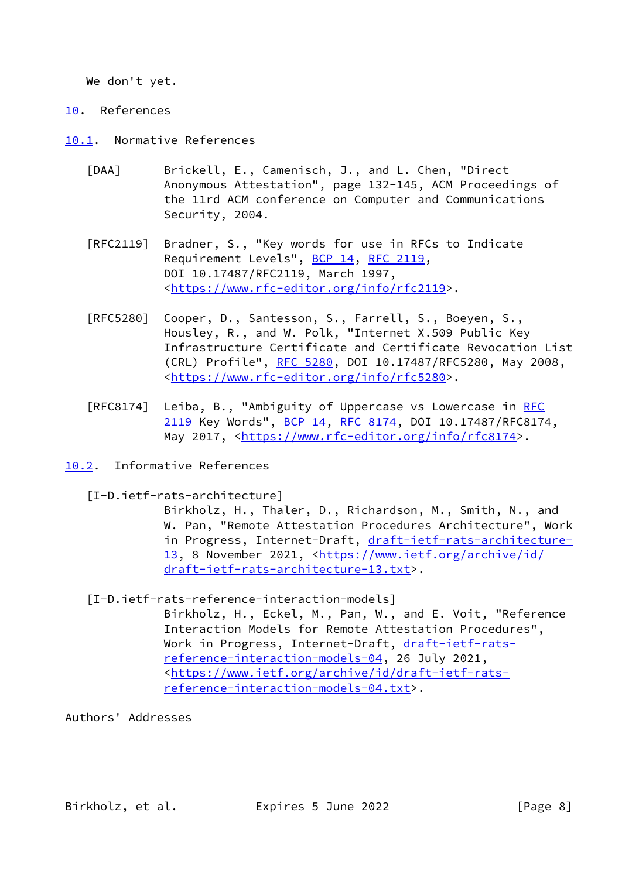We don't yet.

<span id="page-8-0"></span>[10.](#page-8-0) References

<span id="page-8-1"></span>[10.1](#page-8-1). Normative References

- <span id="page-8-5"></span> [DAA] Brickell, E., Camenisch, J., and L. Chen, "Direct Anonymous Attestation", page 132-145, ACM Proceedings of the 11rd ACM conference on Computer and Communications Security, 2004.
- [RFC2119] Bradner, S., "Key words for use in RFCs to Indicate Requirement Levels", [BCP 14](https://datatracker.ietf.org/doc/pdf/bcp14), [RFC 2119](https://datatracker.ietf.org/doc/pdf/rfc2119), DOI 10.17487/RFC2119, March 1997, <[https://www.rfc-editor.org/info/rfc2119>](https://www.rfc-editor.org/info/rfc2119).
- [RFC5280] Cooper, D., Santesson, S., Farrell, S., Boeyen, S., Housley, R., and W. Polk, "Internet X.509 Public Key Infrastructure Certificate and Certificate Revocation List (CRL) Profile", [RFC 5280,](https://datatracker.ietf.org/doc/pdf/rfc5280) DOI 10.17487/RFC5280, May 2008, <[https://www.rfc-editor.org/info/rfc5280>](https://www.rfc-editor.org/info/rfc5280).
- [RFC8174] Leiba, B., "Ambiguity of Uppercase vs Lowercase in [RFC](https://datatracker.ietf.org/doc/pdf/rfc2119) [2119](https://datatracker.ietf.org/doc/pdf/rfc2119) Key Words", [BCP 14](https://datatracker.ietf.org/doc/pdf/bcp14), [RFC 8174,](https://datatracker.ietf.org/doc/pdf/rfc8174) DOI 10.17487/RFC8174, May 2017, [<https://www.rfc-editor.org/info/rfc8174](https://www.rfc-editor.org/info/rfc8174)>.
- <span id="page-8-3"></span><span id="page-8-2"></span>[10.2](#page-8-2). Informative References
	- [I-D.ietf-rats-architecture]

 Birkholz, H., Thaler, D., Richardson, M., Smith, N., and W. Pan, "Remote Attestation Procedures Architecture", Work in Progress, Internet-Draft, [draft-ietf-rats-architecture-](https://datatracker.ietf.org/doc/pdf/draft-ietf-rats-architecture-13) [13,](https://datatracker.ietf.org/doc/pdf/draft-ietf-rats-architecture-13) 8 November 2021, [<https://www.ietf.org/archive/id/](https://www.ietf.org/archive/id/draft-ietf-rats-architecture-13.txt) [draft-ietf-rats-architecture-13.txt](https://www.ietf.org/archive/id/draft-ietf-rats-architecture-13.txt)>.

<span id="page-8-4"></span>[I-D.ietf-rats-reference-interaction-models]

 Birkholz, H., Eckel, M., Pan, W., and E. Voit, "Reference Interaction Models for Remote Attestation Procedures", Work in Progress, Internet-Draft, [draft-ietf-rats](https://datatracker.ietf.org/doc/pdf/draft-ietf-rats-reference-interaction-models-04) [reference-interaction-models-04](https://datatracker.ietf.org/doc/pdf/draft-ietf-rats-reference-interaction-models-04), 26 July 2021, <[https://www.ietf.org/archive/id/draft-ietf-rats](https://www.ietf.org/archive/id/draft-ietf-rats-reference-interaction-models-04.txt) [reference-interaction-models-04.txt](https://www.ietf.org/archive/id/draft-ietf-rats-reference-interaction-models-04.txt)>.

Authors' Addresses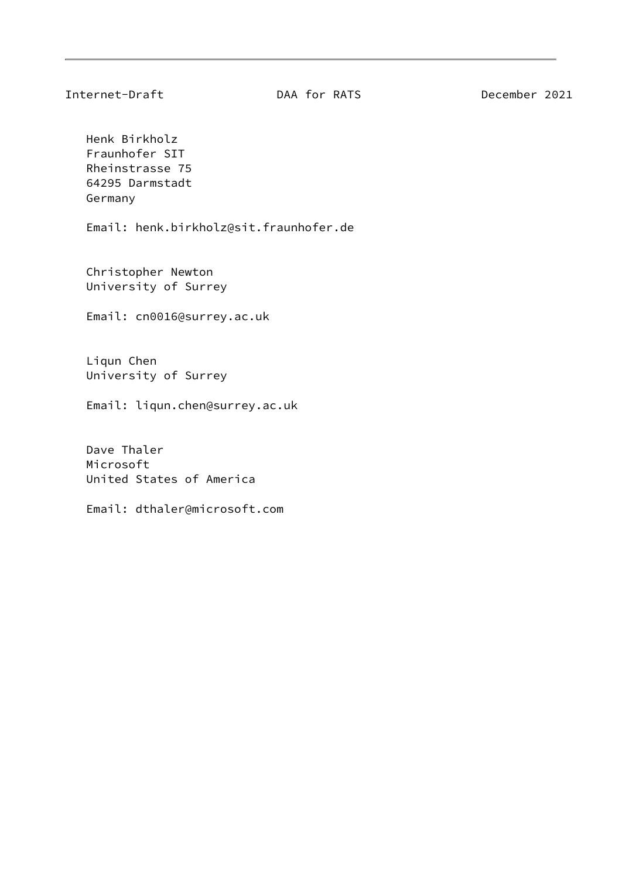Henk Birkholz Fraunhofer SIT Rheinstrasse 75 64295 Darmstadt Germany

Email: henk.birkholz@sit.fraunhofer.de

 Christopher Newton University of Surrey

Email: cn0016@surrey.ac.uk

 Liqun Chen University of Surrey

Email: liqun.chen@surrey.ac.uk

 Dave Thaler Microsoft United States of America

Email: dthaler@microsoft.com